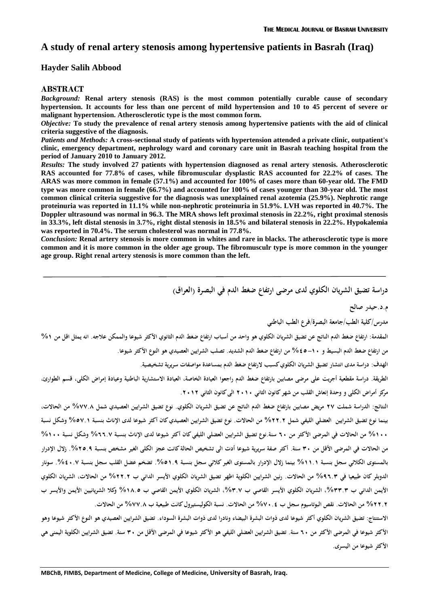# **A study of renal artery stenosis among hypertensive patients in Basrah (Iraq)**

### **Hayder Salih Abbood**

#### **ABSTRACT**

*Background:* **Renal artery stenosis (RAS) is the most common potentially curable cause of secondary hypertension. It accounts for less than one percent of mild hypertension and 10 to 45 percent of severe or malignant hypertension. Atherosclerotic type is the most common form.**

*Objective:* **To study the prevalence of renal artery stenosis among hypertensive patients with the aid of clinical criteria suggestive of the diagnosis.**

*Patients and Methods:* **A cross-sectional study of patients with hypertension attended a private clinic, outpatient's clinic, emergency department, nephrology ward and coronary care unit in Basrah teaching hospital from the period of January 2010 to January 2012.**

*Results:* **The study involved 27 patients with hypertension diagnosed as renal artery stenosis. Atherosclerotic RAS accounted for 77.8% of cases, while fibromuscular dysplastic RAS accounted for 22.2% of cases. The ARAS was more common in female (57.1%) and accounted for 100% of cases more than 60-year old. The FMD type was more common in female (66.7%) and accounted for 100% of cases younger than 30-year old. The most common clinical criteria suggestive for the diagnosis was unexplained renal azotemia (25.9%). Nephrotic range proteinuria was reported in 11.1% while non-nephrotic proteinuria in 51.9%. LVH was reported in 40.7%. The Doppler ultrasound was normal in 96.3. The MRA shows left proximal stenosis in 22.2%, right proximal stenosis in 33.3%, left distal stenosis in 3.7%, right distal stenosis in 18.5% and bilateral stenosis in 22.2%. Hypokalemia was reported in 70.4%. The serum cholesterol was normal in 77.8%.**

*Conclusion:* **Renal artery stenosis is more common in whites and rare in blacks. The atherosclerotic type is more common and it is more common in the older age group. The fibromusculr type is more common in the younger age group. Right renal artery stenosis is more common than the left.**

**دراسة تضيق الشريان الكلوي لدى مرضى ارتفاع ضغط الدم في البصرة (العراق)** 

**م.د.حيدر صالح**

**مدرس/كلية الطب/جامعة البصرة/فرع الطب الباطني**

**المقدمة: ارتفاع ضغط الدم الناتج عن تضيق الشريان الكلوي هو واحد من أسباب ارتفاع ضغط الدم الثانوي الأكثر شيوعا والممكن علاجه. انه يمثل اقل من %١ من ارتفاع ضغط الدم البسيط و %٤٥-١٠ من ارتفاع ضغط الدم الشديد. تصلب الشرايين العصيدي هو النوع الأكثر شيوعا.**

**الهدف: دراسة مدى انتشار تضيق الشريان الكلوي كسبب لارتفاع ضغط الدم بمساعدة مواصفات سريرية تشخيصية.**

**الطريقة. دراسة مقطعية أجريت على مرضى مصابين بارتفاع ضغط الدم راجعوا العيادة الخاصة، العيادة الاستشارية الباطنية وعيادة إمراض الكلى، قسم الطوارئ، مركز أمراض الكلى و وحدة إنعاش القلب من شهر كانون الثاني ٢٠١٠ الى كانون الثاني .٢٠١٢**

**النتائج: الدراسة شملت ٢٧ مريض مصابين بارتفاع ضغط الدم الناتج عن تضيق الشريان الكلوي. نوع تضيق الشرايين العصيدي شمل %٧٧.٨ من الحالات، بينما نوع تضيق الشرايين العضلي الليفي شمل %٢٢.٢ من الحالات. نوع تضيق الشرايين العصيدي كان أكثر شيوعا لدى الإناث بنسبة %٥٧.١ وشكل نسبة %١٠٠ من الحالات في المرضى الأكثر من ٦٠ سنة.نوع تضيق الشرايين العضلي الليفي كان أكثر شيوعا لدى الإناث بنسبة %٦٦.٧ وشكل نسبة %١٠٠ من الحالات في المرضى الأقل من ٣٠ سنة. أكثر صفة سريرية شيوعا أدت الى تشخيص الحالة كانت عجز الكلى الغير مشخص بنسبة .%٢٥.٩ زلال الإدرار بالمستوى الكلائي سجل بنسبة %١١.١ بينما زلال الإدرار بالمستوى الغير كلائي سجل بنسبة .%٥١.٩ تضخم عضل القلب سجل بنسبة .%٤٠.٧ سونار الدوبلر كان طبيعيا في %٩٦.٣ من الحالات. رنين الشرايين الكلوية اظهر تضيق الشريان الكلوي الأيسر الداني ب %٢٢.٢ من الحالات، الشريان الكلوي الأيمن الداني ب ،%٣٣.٣ الشريان الكلوي الأيسر القاصي ب ،%٣.٧ الشريان الكلوي الأيمن القاصي ب %١٨.٥ وكلا الشريانيين الأيمن والأيسرب %٢٢.٢ من الحالات. نقص البوتاسيوم سجل ب %٧٠.٤ من الحالات. نسبة الكوليستيرول كانت طبيعية ب %٧٧.٨ من الحالات.**

**الاستنتاج: تضيق الشريان الكلوي أكثر شيوعا لدى ذوات البشرة البيضاء ونادرا لدى ذوات البشرة السوداء. تضيق الشرايين العصيدي هو النوع الأكثر شيوعا وهو الأكثر شيوعا في المرضى الأكثر من ٦٠ سنة. تضيق الشرايين العضلي الليفي هو الأكثر شيوعا في المرضى الأقل من ٣٠ سنة. تضيق الشرايين الكلوية اليمنى هي الأكثر شيوعا من اليسرى.**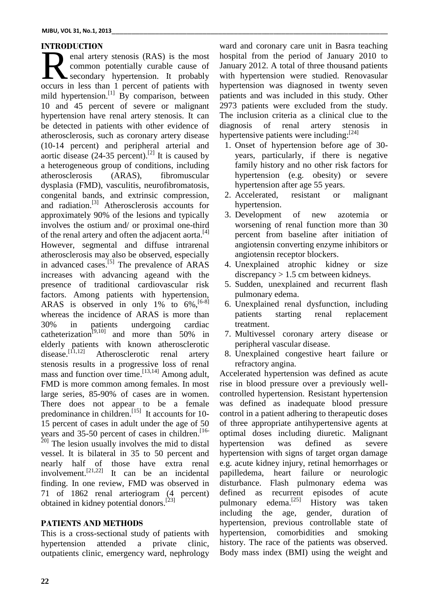### **INTRODUCTION**

enal artery stenosis (RAS) is the most common potentially curable cause of secondary hypertension. It probably and artery stenosis (RAS) is the most<br>common potentially curable cause of Januar<br>occurs in less than 1 percent of patients with hyper mild hypertension.<sup>[1]</sup> By comparison, between patien 10 and 45 percent of severe or malignant hypertension have renal artery stenosis. It can be detected in patients with other evidence of atherosclerosis, such as coronary artery disease (10-14 percent) and peripheral arterial and aortic disease  $(24-35 \text{ percent})$ .<sup>[2]</sup> It is caused by ye a heterogeneous group of conditions, including atherosclerosis (ARAS), fibromuscular dysplasia (FMD), vasculitis, neurofibromatosis, congenital bands, and extrinsic compression, and radiation. [3] Atherosclerosis accounts for approximately 90% of the lesions and typically involves the ostium and/ or proximal one-third of the renal artery and often the adjacent aorta. [4] However, segmental and diffuse intrarenal atherosclerosis may also be observed, especially in advanced cases.<sup>[5]</sup> The prevalence of ARAS 4. Un increases with advancing ageand with the presence of traditional cardiovascular risk factors. Among patients with hypertension, ARAS is observed in only  $1\%$  to  $6\%$ ,  $[6-8]$ whereas the incidence of ARAS is more than patients 30% in patients undergoing cardiac catheterization<sup>[9,10]</sup> and more than 50% in elderly patients with known atherosclerotic disease.<sup>[11,12]</sup> Atherosclerotic renal artery 8. U stenosis results in a progressive loss of renal mass and function over time.<sup>[13,14]</sup> Among adult, A FMD is more common among females. In most large series, 85-90% of cases are in women. There does not appear to be a female predominance in children.<sup>[15]</sup> It accounts for 10- cor 15 percent of cases in adult under the age of 50 years and 35-50 percent of cases in children.<sup>[16-</sup> o  $^{20}$  The lesion usually involves the mid to distal vessel. It is bilateral in 35 to 50 percent and nearly half of those have extra renal involvement.<sup>[21,22]</sup> It can be an incidental pa finding. In one review, FMD was observed in 71 of 1862 renal arteriogram (4 percent) obtained in kidney potential donors.<sup>[23]</sup>

## **PATIENTS AND METHODS**

This is a cross-sectional study of patients with hypertension attended a private clinic, outpatients clinic, emergency ward, nephrology

ward and coronary care unit in Basra teaching hospital from the period of January 2010 to January 2012. A total of three thousand patients with hypertension were studied. Renovasular hypertension was diagnosed in twenty seven patients and was included in this study. Other 2973 patients were excluded from the study. The inclusion criteria as a clinical clue to the diagnosis of renal artery stenosis in hypertensive patients were including:<sup>[24]</sup>

- 1. Onset of hypertension before age of 30 years, particularly, if there is negative family history and no other risk factors for hypertension (e.g. obesity) or severe hypertension after age 55 years.
- 2. Accelerated, resistant or malignant hypertension.
- 3. Development of new azotemia or worsening of renal function more than 30 percent from baseline after initiation of angiotensin converting enzyme inhibitors or angiotensin receptor blockers.
- 4. Unexplained atrophic kidney or size discrepancy  $> 1.5$  cm between kidneys.
- 5. Sudden, unexplained and recurrent flash pulmonary edema.
- 6. Unexplained renal dysfunction, including starting renal replacement treatment.
- 7. Multivessel coronary artery disease or peripheral vascular disease.
- 8. Unexplained congestive heart failure or refractory angina.

Accelerated hypertension was defined as acute rise in blood pressure over a previously well controlled hypertension. Resistant hypertension was defined as inadequate blood pressure control in a patient adhering to therapeutic doses of three appropriate antihypertensive agents at optimal doses including diuretic. Malignant hypertension was defined as severe hypertension with signs of target organ damage e.g. acute kidney injury, retinal hemorrhages or papilledema, heart failure or neurologic disturbance. Flash pulmonary edema was defined as recurrent episodes of acute pulmonary edema.<sup>[25]</sup> History was taken including the age, gender, duration of hypertension, previous controllable state of hypertension, comorbidities and smoking history. The race of the patients was observed. Body mass index (BMI) using the weight and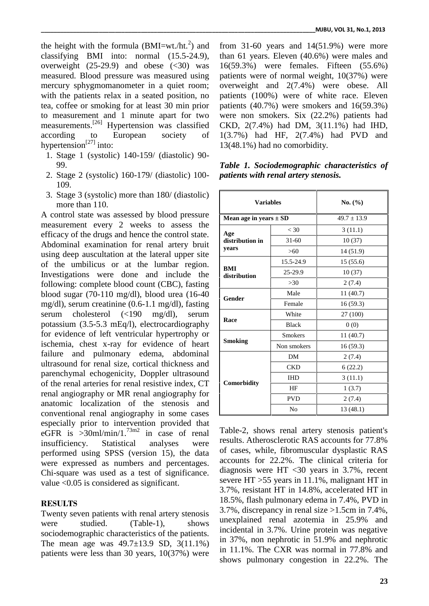the height with the formula  $(BMI=wt./ht.^2)$  and classifying BMI into: normal (15.5-24.9), overweight  $(25-29.9)$  and obese  $( $30$ )$  was measured. Blood pressure was measured using mercury sphygmomanometer in a quiet room; with the patients relax in a seated position, no tea, coffee or smoking for at least 30 min prior to measurement and 1 minute apart for two measurements.<sup>[26]</sup> Hypertension was classified CKD, according to European society of hypertension<sup>[27]</sup> into:

- 1. Stage 1 (systolic) 140-159/ (diastolic) 90- 99.
- 2. Stage 2 (systolic) 160-179/ (diastolic) 100- 109.
- 3. Stage 3 (systolic) more than 180/ (diastolic) more than 110.

A control state was assessed by blood pressure measurement every 2 weeks to assess the efficacy of the drugs and hence the control state. Abdominal examination for renal artery bruit using deep auscultation at the lateral upper site of the umbilicus or at the lumbar region. Investigations were done and include the following: complete blood count (CBC), fasting blood sugar (70-110 mg/dl), blood urea (16-40 mg/dl), serum creatinine (0.6-1.1 mg/dl), fasting serum cholesterol (<190 mg/dl), serum potassium (3.5-5.3 mEq/l), electrocardiography for evidence of left ventricular hypertrophy or ischemia, chest x-ray for evidence of heart failure and pulmonary edema, abdominal ultrasound for renal size, cortical thickness and parenchymal echogenicity, Doppler ultrasound of the renal arteries for renal resistive index, CT renal angiography or MR renal angiography for anatomic localization of the stenosis and conventional renal angiography in some cases especially prior to intervention provided that eGFR is >30ml/min/1.<sup>73m2</sup> in case of renal To insufficiency. Statistical analyses were performed using SPSS (version 15), the data were expressed as numbers and percentages. Chi-square was used as a test of significance. value <0.05 is considered as significant.

### **RESULTS**

Twenty seven patients with renal artery stenosis were studied. (Table-1), shows sociodemographic characteristics of the patients. The mean age was  $49.7 \pm 13.9$  SD,  $3(11.1\%)$ patients were less than 30 years, 10(37%) were

) and from 31-60 years and 14(51.9%) were more than 61 years. Eleven (40.6%) were males and 16(59.3%) were females. Fifteen (55.6%) patients were of normal weight, 10(37%) were overweight and 2(7.4%) were obese. All patients (100%) were of white race. Eleven patients (40.7%) were smokers and 16(59.3%) were non smokers. Six (22.2%) patients had CKD, 2(7.4%) had DM, 3(11.1%) had IHD, 1(3.7%) had HF, 2(7.4%) had PVD and 13(48.1%) had no comorbidity.

| <b>Variables</b>           |                | No. (%)         |  |
|----------------------------|----------------|-----------------|--|
| Mean age in years $\pm$ SD |                | $49.7 \pm 13.9$ |  |
| Age                        | < 30           | 3(11.1)         |  |
| distribution in            | $31 - 60$      | 10(37)          |  |
| years                      | >60            | 14 (51.9)       |  |
|                            | 15.5-24.9      | 15(55.6)        |  |
| BMI<br>distribution        | 25-29.9        | 10(37)          |  |
|                            | $>30$          | 2(7.4)          |  |
|                            | Male           | 11(40.7)        |  |
| Gender                     | Female         | 16(59.3)        |  |
| Race                       | White          | 27 (100)        |  |
|                            | <b>Black</b>   | 0(0)            |  |
|                            | <b>Smokers</b> | 11(40.7)        |  |
| <b>Smoking</b>             | Non smokers    | 16(59.3)        |  |
|                            | DM             | 2(7.4)          |  |
|                            | <b>CKD</b>     | 6(22.2)         |  |
|                            | <b>IHD</b>     | 3(11.1)         |  |
| Comorbidity                | ΗF             | 1(3.7)          |  |
|                            | <b>PVD</b>     | 2(7.4)          |  |
|                            | No             | 13(48.1)        |  |

*Table 1. Sociodemographic characteristics of patients with renal artery stenosis.*

Table-2, shows renal artery stenosis patient's results. Atherosclerotic RAS accounts for 77.8% of cases, while, fibromuscular dysplastic RAS accounts for 22.2%. The clinical criteria for diagnosis were HT <30 years in 3.7%, recent severe HT >55 years in 11.1%, malignant HT in 3.7%, resistant HT in 14.8%, accelerated HT in 18.5%, flash pulmonary edema in 7.4%, PVD in 3.7%, discrepancy in renal size >1.5cm in 7.4%, unexplained renal azotemia in 25.9% and incidental in 3.7%. Urine protein was negative in 37%, non nephrotic in 51.9% and nephrotic in 11.1%. The CXR was normal in 77.8% and shows pulmonary congestion in 22.2%. The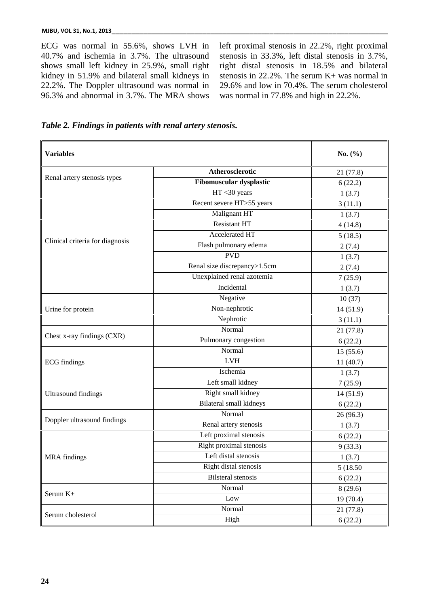ECG was normal in 55.6%, shows LVH in 40.7% and ischemia in 3.7%. The ultrasound shows small left kidney in 25.9%, small right kidney in 51.9% and bilateral small kidneys in 22.2%. The Doppler ultrasound was normal in 96.3% and abnormal in 3.7%. The MRA shows left proximal stenosis in 22.2%, right proximal stenosis in 33.3%, left distal stenosis in 3.7%, right distal stenosis in 18.5% and bilateral stenosis in 22.2%. The serum K+ was normal in 29.6% and low in 70.4%. The serum cholesterol was normal in 77.8% and high in 22.2%.

*Table 2. Findings in patients with renal artery stenosis.*

| <b>Variables</b>                |                                | No. $(\% )$ |
|---------------------------------|--------------------------------|-------------|
|                                 | Atherosclerotic                | 21 (77.8)   |
| Renal artery stenosis types     | <b>Fibomuscular dysplastic</b> | 6(22.2)     |
|                                 | $HT < 30$ years                | 1(3.7)      |
|                                 | Recent severe HT>55 years      | 3(11.1)     |
|                                 | Malignant HT                   | 1(3.7)      |
|                                 | <b>Resistant HT</b>            | 4(14.8)     |
|                                 | <b>Accelerated HT</b>          | 5(18.5)     |
| Clinical criteria for diagnosis | Flash pulmonary edema          | 2(7.4)      |
|                                 | <b>PVD</b>                     | 1(3.7)      |
|                                 | Renal size discrepancy>1.5cm   | 2(7.4)      |
|                                 | Unexplained renal azotemia     | 7(25.9)     |
|                                 | Incidental                     | 1(3.7)      |
|                                 | Negative                       | 10(37)      |
| Urine for protein               | Non-nephrotic                  | 14 (51.9)   |
|                                 | Nephrotic                      | 3(11.1)     |
| Chest x-ray findings (CXR)      | Normal                         | 21 (77.8)   |
|                                 | Pulmonary congestion           | 6(22.2)     |
|                                 | Normal                         | 15(55.6)    |
| <b>ECG</b> findings             | <b>LVH</b>                     | 11(40.7)    |
|                                 | Ischemia                       | 1(3.7)      |
|                                 | Left small kidney              | 7(25.9)     |
| <b>Ultrasound findings</b>      | Right small kidney             | 14 (51.9)   |
|                                 | <b>Bilateral small kidneys</b> | 6(22.2)     |
|                                 | Normal                         | 26 (96.3)   |
| Doppler ultrasound findings     | Renal artery stenosis          | 1(3.7)      |
|                                 | Left proximal stenosis         | 6(22.2)     |
|                                 | Right proximal stenosis        | 9(33.3)     |
| <b>MRA</b> findings             | Left distal stenosis           | 1(3.7)      |
|                                 | Right distal stenosis          | 5 (18.50)   |
|                                 | <b>Bilsteral stenosis</b>      | 6(22.2)     |
|                                 | Normal                         | 8(29.6)     |
| Serum K+                        | $_{\text{Low}}$                | 19 (70.4)   |
|                                 | Normal                         | 21(77.8)    |
| Serum cholesterol               | High                           | 6(22.2)     |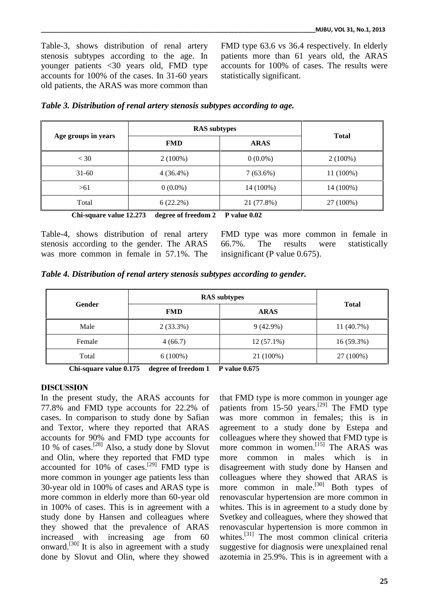Table-3, shows distribution of renal artery stenosis subtypes according to the age. In younger patients <30 years old, FMD type accounts for 100% of the cases. In 31-60 years old patients, the ARAS was more common than

FMD type 63.6 vs 36.4 respectively. In elderly patients more than 61 years old, the ARAS accounts for 100% of cases. The results were statistically significant.

| Age groups in years | <b>RAS</b> subtypes |             |              |
|---------------------|---------------------|-------------|--------------|
|                     | <b>FMD</b>          | <b>ARAS</b> | <b>Total</b> |
| $<$ 30              | $2(100\%)$          | $0(0.0\%)$  | $2(100\%)$   |
| $31-60$             | $4(36.4\%)$         | $7(63.6\%)$ | 11 (100%)    |
| >61                 | $0(0.0\%)$          | 14 (100%)   | 14 (100%)    |
| Total               | 6(22.2%)            | 21 (77.8%)  | 27 (100%)    |

|  |  |  |  | Table 3. Distribution of renal artery stenosis subtypes according to age. |  |
|--|--|--|--|---------------------------------------------------------------------------|--|
|  |  |  |  |                                                                           |  |

**Chi-square value 12.273 degree of freedom 2 P value 0.02**

Table-4, shows distribution of renal artery stenosis according to the gender. The ARAS 66.7%. was more common in female in 57.1%. The

FMD type was more common in female in The results were statistically insignificant (P value 0.675).

| Table 4. Distribution of renal artery stenosis subtypes according to gender. |  |
|------------------------------------------------------------------------------|--|
|------------------------------------------------------------------------------|--|

| <b>Gender</b> | <b>RAS</b> subtypes |              |              |
|---------------|---------------------|--------------|--------------|
|               | <b>FMD</b>          | <b>ARAS</b>  | <b>Total</b> |
| Male          | $2(33.3\%)$         | $9(42.9\%)$  | 11 (40.7%)   |
| Female        | 4(66.7)             | $12(57.1\%)$ | 16 (59.3%)   |
| Total         | $6(100\%)$          | 21 (100%)    | 27 (100%)    |

**Chi-square value 0.175 degree of freedom 1 P value 0.675**

### **DISCUSSION**

In the present study, the ARAS accounts for 77.8% and FMD type accounts for 22.2% of cases. In comparison to study done by Safian and Textor, where they reported that ARAS accounts for 90% and FMD type accounts for 10 % of cases.<sup>[28]</sup> Also, a study done by Slovut m and Olin, where they reported that FMD type accounted for 10% of cases.<sup>[29]</sup> FMD type is disa more common in younger age patients less than 30-year old in 100% of cases and ARAS type is more common in elderly more than 60-year old in 100% of cases. This is in agreement with a study done by Hansen and colleagues where they showed that the prevalence of ARAS increased with increasing age from 60 onward.<sup>[30]</sup> It is also in agreement with a study suggest done by Slovut and Olin, where they showed

that FMD type is more common in younger age patients from 15-50 years.<sup>[29]</sup> The FMD type was more common in females; this is in agreement to a study done by Estepa and colleagues where they showed that FMD type is more common in women. [15] The ARAS was common in males which is in disagreement with study done by Hansen and colleagues where they showed that ARAS is more common in male.<sup>[30]</sup> Both types of renovascular hypertension are more common in whites. This is in agreement to a study done by Svetkey and colleagues, where they showed that renovascular hypertension is more common in whites.<sup>[31]</sup> The most common clinical criteria suggestive for diagnosis were unexplained renal azotemia in 25.9%. This is in agreement with a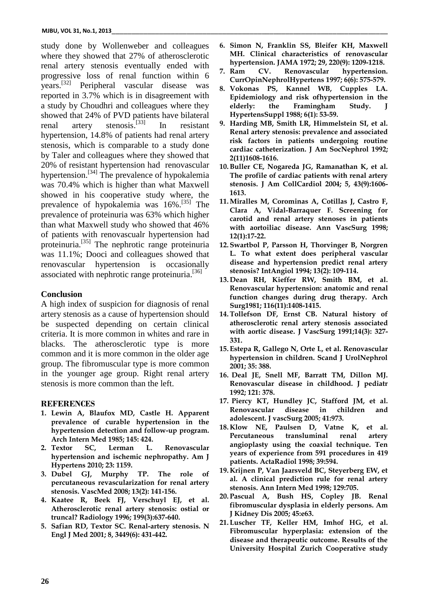study done by Wollenweber and colleagues where they showed that 27% of atherosclerotic renal artery stenosis eventually ended with  $\frac{hyp}{Z}$ . Ram progressive loss of renal function within 6 years.<sup>[32]</sup> Peripheral vascular disease was  $\overline{8}$ , V reported in 3.7% which is in disagreement with a study by Choudhri and colleagues where they showed that 24% of PVD patients have bilateral renal artery stenosis.<sup>[33]</sup> In resistant hypertension, 14.8% of patients had renal artery stenosis, which is comparable to a study done by Taler and colleagues where they showed that 20% of resistant hypertension had renovascular hypertension.<sup>[34]</sup> The prevalence of hypokalemia Th was 70.4% which is higher than what Maxwell showed in his cooperative study where, the prevalence of hypokalemia was  $16\%$ .<sup>[35]</sup> The  $11. M$ prevalence of proteinuria was 63% which higher than what Maxwell study who showed that 46% of patients with renovascualr hypertension had proteinuria.<sup>[35]</sup> The nephrotic range proteinuria 12. Sv was 11.1%; Dooci and colleagues showed that renovascular hypertension is occasionally associated with nephrotic range proteinuria.<sup>[36]</sup>

### **Conclusion**

A high index of suspicion for diagnosis of renal artery stenosis as a cause of hypertension should be suspected depending on certain clinical criteria. It is more common in whites and rare in blacks. The atherosclerotic type is more common and it is more common in the older age group. The fibromuscular type is more common in the younger age group. Right renal artery stenosis is more common than the left.

#### **REFERENCES**

- **1. Lewin A, Blaufox MD, Castle H. Apparent prevalence of curable hypertension in the hypertension detection and follow-up program. Arch Intern Med 1985; 145: 424.**
- **2. Textor SC, Lerman L. Renovascular hypertension and ischemic nephropathy. Am J Hypertens 2010; 23: 1159.**
- **3. Dubel GJ, Murphy TP. The role of percutaneous revascularization for renal artery stenosis. VascMed 2008; 13(2): 141-156.**
- **4. Kaatee R, Beek FJ, Verschuyl EJ, et al. Atherosclerotic renal artery stenosis: ostial or truncal? Radiology 1996; 199(3):637-640.**
- **5. Safian RD, Textor SC. Renal-artery stenosis. N Engl J Med 2001; 8, 3449(6): 431-442.**
- **6. Simon N, Franklin SS, Bleifer KH, Maxwell MH. Clinical characteristics of renovascular hypertension. JAMA 1972; 29, 220(9): 1209-1218.**
- **7. Renovascular** hypertension. **CurrOpinNephrolHypertens 1997; 6(6): 575-579.**
- **8. Vokonas PS, Kannel WB, Cupples LA. Epidemiology and risk ofhypertension in the elderly: the Framingham Study. J HypertensSuppl 1988; 6(1): 53-59.**
- **9. Harding MB, Smith LR, Himmelstein SI, et al. Renal artery stenosis: prevalence and associated risk factors in patients undergoing routine cardiac catheterization. J Am SocNephrol 1992; 2(11)1608-1616.**
- **10.Buller CE, Nogareda JG, Ramanathan K, et al. The profile of cardiac patients with renal artery stenosis. J Am CollCardiol 2004; 5, 43(9):1606- 1613.**
- **11.Miralles M, Corominas A, Cotillas J, Castro F, Clara A, Vidal-Barraquer F. Screening for carotid and renal artery stenoses in patients with aortoiliac disease. Ann VascSurg 1998; 12(1):17-22.**
- **12. Swartbol P, Parsson H, Thorvinger B, Norgren L. To what extent does peripheral vascular disease and hypertension predict renal artery stenosis? IntAngiol 1994; 13(2): 109-114.**
- **13. Dean RH, Kieffer RW, Smith BM, et al. Renovascular hypertension: anatomic and renal function changes during drug therapy. Arch Surg1981; 116(11):1408-1415.**
- **14.Tollefson DF, Ernst CB. Natural history of atherosclerotic renal artery stenosis associated with aortic disease. J VascSurg 1991;14(3): 327- 331.**
- **15. Estepa R, Gallego N, Orte L, et al. Renovascular hypertension in children. Scand J UrolNephrol 2001; 35: 388.**
- **16. Deal JE, Snell MF, Barratt TM, Dillon MJ. Renovascular disease in childhood. J pediatr 1992; 121: 378.**
- **17. Piercy KT, Hundley JC, Stafford JM, et al. Renovascular disease in children and adolescent. J vascSurg 2005; 41:973.**
- **18. Klow NE, Paulsen D, Vatne K, et al. Percutaneous transluminal renal artery angioplasty using the coaxial technique. Ten years of experience from 591 procedures in 419 patients. ActaRadiol 1998; 39:594.**
- **19. Krijnen P, Van Jaarsveld BC, Steyerberg EW, et al. A clinical prediction rule for renal artery stenosis. Ann Intern Med 1998; 129:705.**
- **20. Pascual A, Bush HS, Copley JB. Renal fibromuscular dysplasia in elderly persons. Am J Kidney Dis 2005; 45:e63.**
- **21. Luscher TF, Keller HM, Imhof HG, et al. Fibromuscular hyperplasia: extension of the disease and therapeutic outcome. Results of the University Hospital Zurich Cooperative study**